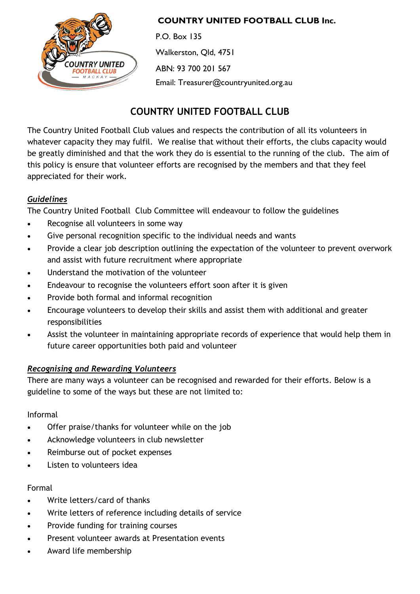

## **COUNTRY UNITED FOOTBALL CLUB Inc.**

P.O. Box 135 Walkerston, Qld, 4751 ABN: 93 700 201 567 Email: Treasurer@countryunited.org.au

# **COUNTRY UNITED FOOTBALL CLUB**

The Country United Football Club values and respects the contribution of all its volunteers in whatever capacity they may fulfil. We realise that without their efforts, the clubs capacity would be greatly diminished and that the work they do is essential to the running of the club. The aim of this policy is ensure that volunteer efforts are recognised by the members and that they feel appreciated for their work.

# *Guidelines*

The Country United Football Club Committee will endeavour to follow the guidelines

- Recognise all volunteers in some way
- Give personal recognition specific to the individual needs and wants
- Provide a clear job description outlining the expectation of the volunteer to prevent overwork and assist with future recruitment where appropriate
- Understand the motivation of the volunteer
- Endeavour to recognise the volunteers effort soon after it is given
- Provide both formal and informal recognition
- Encourage volunteers to develop their skills and assist them with additional and greater responsibilities
- Assist the volunteer in maintaining appropriate records of experience that would help them in future career opportunities both paid and volunteer

# *Recognising and Rewarding Volunteers*

There are many ways a volunteer can be recognised and rewarded for their efforts. Below is a guideline to some of the ways but these are not limited to:

### Informal

- Offer praise/thanks for volunteer while on the job
- Acknowledge volunteers in club newsletter
- Reimburse out of pocket expenses
- Listen to volunteers idea

### Formal

- Write letters/card of thanks
- Write letters of reference including details of service
- Provide funding for training courses
- Present volunteer awards at Presentation events
- Award life membership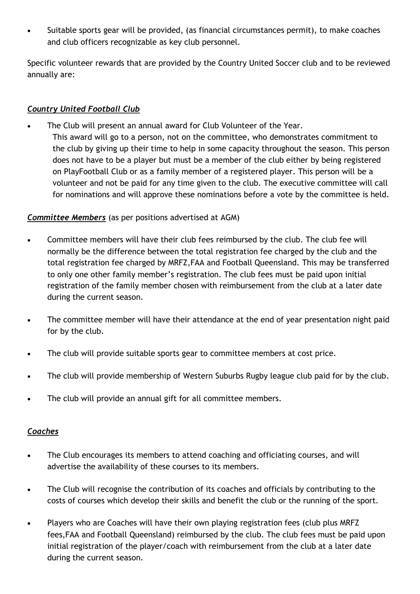• Suitable sports gear will be provided, (as financial circumstances permit), to make coaches and club officers recognizable as key club personnel.

Specific volunteer rewards that are provided by the Country United Soccer club and to be reviewed annually are:

## *Country United Football Club*

- The Club will present an annual award for Club Volunteer of the Year.
	- This award will go to a person, not on the committee, who demonstrates commitment to the club by giving up their time to help in some capacity throughout the season. This person does not have to be a player but must be a member of the club either by being registered on PlayFootball Club or as a family member of a registered player. This person will be a volunteer and not be paid for any time given to the club. The executive committee will call for nominations and will approve these nominations before a vote by the committee is held.

# *Committee Members* (as per positions advertised at AGM)

- Committee members will have their club fees reimbursed by the club. The club fee will normally be the difference between the total registration fee charged by the club and the total registration fee charged by MRFZ,FAA and Football Queensland. This may be transferred to only one other family member's registration. The club fees must be paid upon initial registration of the family member chosen with reimbursement from the club at a later date during the current season.
- The committee member will have their attendance at the end of year presentation night paid for by the club.
- The club will provide suitable sports gear to committee members at cost price.
- The club will provide membership of Western Suburbs Rugby league club paid for by the club.
- The club will provide an annual gift for all committee members.

### *Coaches*

- The Club encourages its members to attend coaching and officiating courses, and will advertise the availability of these courses to its members.
- The Club will recognise the contribution of its coaches and officials by contributing to the costs of courses which develop their skills and benefit the club or the running of the sport.
- Players who are Coaches will have their own playing registration fees (club plus MRFZ fees,FAA and Football Queensland) reimbursed by the club. The club fees must be paid upon initial registration of the player/coach with reimbursement from the club at a later date during the current season.